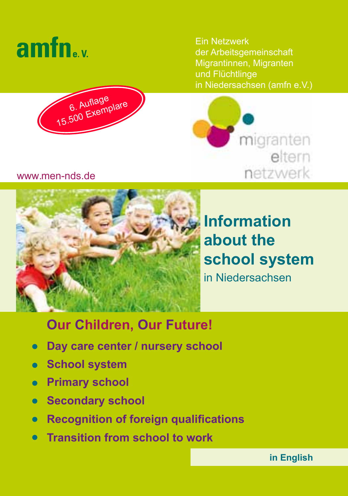



Ein Netzwerk der Arbeitsgemeinschaft Migrantinnen, Migranten und Flüchtlinge in Niedersachsen (amfn e.V.)



## www.men-nds.de



**Information about the school system** in Niedersachsen

# **Our Children, Our Future!**

- **Day care center / nursery school**
- **School system**
- **Primary school**
- **Secondary school**  $\bullet$
- **Recognition of foreign qualifications**
- **Transition from school to work**

**in English**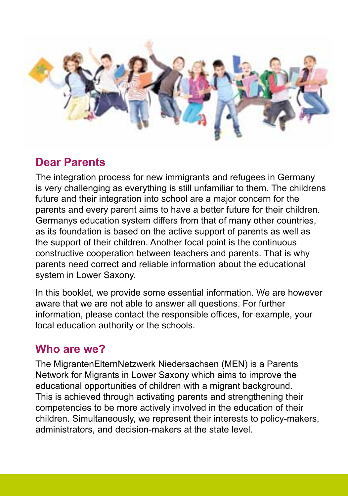

# **Dear Parents**

The integration process for new immigrants and refugees in Germany is very challenging as everything is still unfamiliar to them. The childrens future and their integration into school are a major concern for the parents and every parent aims to have a better future for their children. Germanys education system differs from that of many other countries, as its foundation is based on the active support of parents as well as the support of their children. Another focal point is the continuous constructive cooperation between teachers and parents. That is why parents need correct and reliable information about the educational system in Lower Saxony.

In this booklet, we provide some essential information. We are however aware that we are not able to answer all questions. For further information, please contact the responsible offices, for example, your local education authority or the schools.

# **Who are we?**

The MigrantenElternNetzwerk Niedersachsen (MEN) is a Parents Network for Migrants in Lower Saxony which aims to improve the educational opportunities of children with a migrant background. This is achieved through activating parents and strengthening their competencies to be more actively involved in the education of their children. Simultaneously, we represent their interests to policy-makers, administrators, and decision-makers at the state level.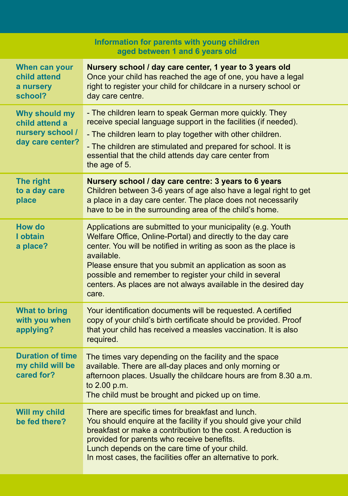| Information for parents with young children<br>aged between 1 and 6 years old |                                                                                                                                                                                                                                                                                                                                                                                                              |  |
|-------------------------------------------------------------------------------|--------------------------------------------------------------------------------------------------------------------------------------------------------------------------------------------------------------------------------------------------------------------------------------------------------------------------------------------------------------------------------------------------------------|--|
| When can your<br>child attend<br>a nursery<br>school?                         | Nursery school / day care center, 1 year to 3 years old<br>Once your child has reached the age of one, you have a legal<br>right to register your child for childcare in a nursery school or<br>day care centre.                                                                                                                                                                                             |  |
| Why should my<br>child attend a<br>nursery school /<br>day care center?       | - The children learn to speak German more quickly. They<br>receive special language support in the facilities (if needed).<br>- The children learn to play together with other children.<br>- The children are stimulated and prepared for school. It is<br>essential that the child attends day care center from<br>the age of 5.                                                                           |  |
| The right<br>to a day care<br>place                                           | Nursery school / day care centre: 3 years to 6 years<br>Children between 3-6 years of age also have a legal right to get<br>a place in a day care center. The place does not necessarily<br>have to be in the surrounding area of the child's home.                                                                                                                                                          |  |
| How do<br>I obtain<br>a place?                                                | Applications are submitted to your municipality (e.g. Youth<br>Welfare Office, Online-Portal) and directly to the day care<br>center. You will be notified in writing as soon as the place is<br>available.<br>Please ensure that you submit an application as soon as<br>possible and remember to register your child in several<br>centers. As places are not always available in the desired day<br>care. |  |
| <b>What to bring</b><br>with you when<br>applying?                            | Your identification documents will be requested. A certified<br>copy of your child's birth certificate should be provided. Proof<br>that your child has received a measles vaccination. It is also<br>required.                                                                                                                                                                                              |  |
| <b>Duration of time</b><br>my child will be<br>cared for?                     | The times vary depending on the facility and the space<br>available. There are all-day places and only morning or<br>afternoon places. Usually the childcare hours are from 8.30 a.m.<br>to 2.00 p.m.<br>The child must be brought and picked up on time.                                                                                                                                                    |  |
| Will my child<br>be fed there?                                                | There are specific times for breakfast and lunch.<br>You should enquire at the facility if you should give your child<br>breakfast or make a contribution to the cost. A reduction is<br>provided for parents who receive benefits.<br>Lunch depends on the care time of your child.<br>In most cases, the facilities offer an alternative to pork.                                                          |  |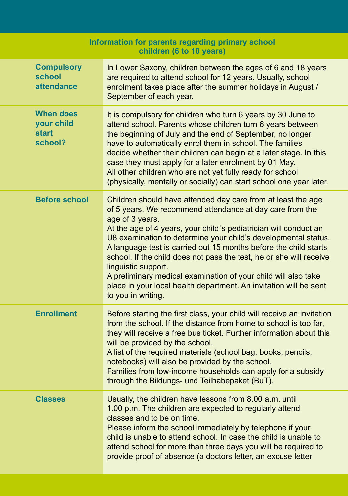| Information for parents regarding primary school<br>children (6 to 10 years) |                                                                                                                                                                                                                                                                                                                                                                                                                                                                                                                                                                                                                  |  |
|------------------------------------------------------------------------------|------------------------------------------------------------------------------------------------------------------------------------------------------------------------------------------------------------------------------------------------------------------------------------------------------------------------------------------------------------------------------------------------------------------------------------------------------------------------------------------------------------------------------------------------------------------------------------------------------------------|--|
| <b>Compulsory</b><br>school<br>attendance                                    | In Lower Saxony, children between the ages of 6 and 18 years<br>are required to attend school for 12 years. Usually, school<br>enrolment takes place after the summer holidays in August /<br>September of each year.                                                                                                                                                                                                                                                                                                                                                                                            |  |
| <b>When does</b><br>your child<br><b>start</b><br>school?                    | It is compulsory for children who turn 6 years by 30 June to<br>attend school. Parents whose children turn 6 years between<br>the beginning of July and the end of September, no longer<br>have to automatically enrol them in school. The families<br>decide whether their children can begin at a later stage. In this<br>case they must apply for a later enrolment by 01 May.<br>All other children who are not yet fully ready for school<br>(physically, mentally or socially) can start school one year later.                                                                                            |  |
| <b>Before school</b>                                                         | Children should have attended day care from at least the age<br>of 5 years. We recommend attendance at day care from the<br>age of 3 years.<br>At the age of 4 years, your child's pediatrician will conduct an<br>U8 examination to determine your child's developmental status.<br>A language test is carried out 15 months before the child starts<br>school. If the child does not pass the test, he or she will receive<br>linguistic support.<br>A preliminary medical examination of your child will also take<br>place in your local health department. An invitation will be sent<br>to you in writing. |  |
| <b>Enrollment</b>                                                            | Before starting the first class, your child will receive an invitation<br>from the school. If the distance from home to school is too far,<br>they will receive a free bus ticket. Further information about this<br>will be provided by the school.<br>A list of the required materials (school bag, books, pencils,<br>notebooks) will also be provided by the school.<br>Families from low-income households can apply for a subsidy<br>through the Bildungs- und Teilhabepaket (BuT).                                                                                                                        |  |
| <b>Classes</b>                                                               | Usually, the children have lessons from 8.00 a.m. until<br>1.00 p.m. The children are expected to regularly attend<br>classes and to be on time.<br>Please inform the school immediately by telephone if your<br>child is unable to attend school. In case the child is unable to<br>attend school for more than three days you will be required to<br>provide proof of absence (a doctors letter, an excuse letter                                                                                                                                                                                              |  |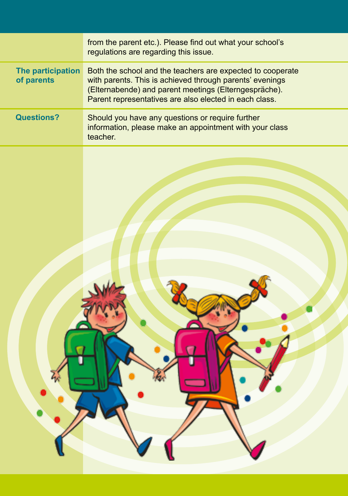|                                 | from the parent etc.). Please find out what your school's<br>regulations are regarding this issue.                                                                                                                                        |
|---------------------------------|-------------------------------------------------------------------------------------------------------------------------------------------------------------------------------------------------------------------------------------------|
| The participation<br>of parents | Both the school and the teachers are expected to cooperate<br>with parents. This is achieved through parents' evenings<br>(Elternabende) and parent meetings (Elterngespräche).<br>Parent representatives are also elected in each class. |
| <b>Questions?</b>               | Should you have any questions or require further<br>information, please make an appointment with your class<br>teacher.                                                                                                                   |
|                                 |                                                                                                                                                                                                                                           |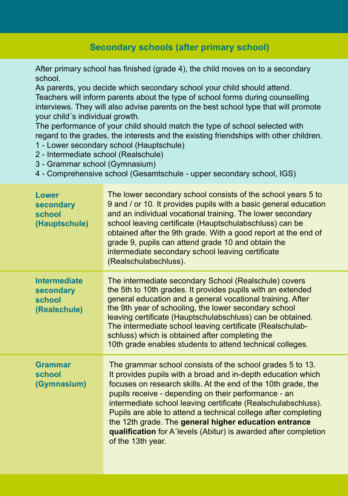## **Secondary schools (after primary school)**

After primary school has finished (grade 4), the child moves on to a secondary school.

As parents, you decide which secondary school your child should attend. Teachers will inform parents about the type of school forms during counselling interviews. They will also advise parents on the best school type that will promote your child´s individual growth.

The performance of your child should match the type of school selected with regard to the grades, the interests and the existing friendships with other children.

- 1 Lower secondary school (Hauptschule)
- 2 Intermediate school (Realschule)

3 - Grammar school (Gymnasium)

4 - Comprehensive school (Gesamtschule - upper secondary school, IGS)

| Lower<br>secondary<br>school<br>(Hauptschule)              | The lower secondary school consists of the school years 5 to<br>9 and / or 10. It provides pupils with a basic general education<br>and an individual vocational training. The lower secondary<br>school leaving certificate (Hauptschulabschluss) can be<br>obtained after the 9th grade. With a good report at the end of<br>grade 9, pupils can attend grade 10 and obtain the<br>intermediate secondary school leaving certificate<br>(Realschulabschluss).                                                                        |
|------------------------------------------------------------|----------------------------------------------------------------------------------------------------------------------------------------------------------------------------------------------------------------------------------------------------------------------------------------------------------------------------------------------------------------------------------------------------------------------------------------------------------------------------------------------------------------------------------------|
| <b>Intermediate</b><br>secondary<br>school<br>(Realschule) | The intermediate secondary School (Realschule) covers<br>the 5th to 10th grades. It provides pupils with an extended<br>general education and a general vocational training. After<br>the 9th year of schooling, the lower secondary school<br>leaving certificate (Hauptschulabschluss) can be obtained.<br>The intermediate school leaving certificate (Realschulab-<br>schluss) which is obtained after completing the<br>10th grade enables students to attend technical colleges.                                                 |
| <b>Grammar</b><br>school<br>(Gymnasium)                    | The grammar school consists of the school grades 5 to 13.<br>It provides pupils with a broad and in-depth education which<br>focuses on research skills. At the end of the 10th grade, the<br>pupils receive - depending on their performance - an<br>intermediate school leaving certificate (Realschulabschluss).<br>Pupils are able to attend a technical college after completing<br>the 12th grade. The general higher education entrance<br>qualification for A'levels (Abitur) is awarded after completion<br>of the 13th year. |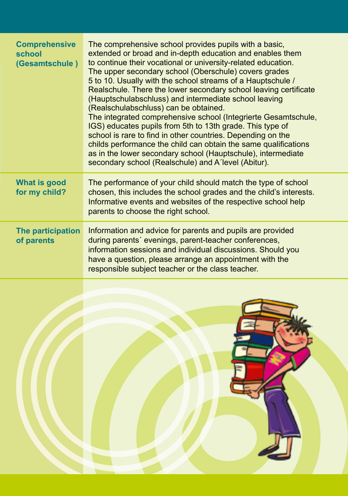| <b>Comprehensive</b><br>school<br>(Gesamtschule) | The comprehensive school provides pupils with a basic.<br>extended or broad and in-depth education and enables them<br>to continue their vocational or university-related education.<br>The upper secondary school (Oberschule) covers grades<br>5 to 10. Usually with the school streams of a Hauptschule /<br>Realschule. There the lower secondary school leaving certificate<br>(Hauptschulabschluss) and intermediate school leaving<br>(Realschulabschluss) can be obtained.<br>The integrated comprehensive school (Integrierte Gesamtschule,<br>IGS) educates pupils from 5th to 13th grade. This type of<br>school is rare to find in other countries. Depending on the<br>childs performance the child can obtain the same qualifications<br>as in the lower secondary school (Hauptschule), intermediate<br>secondary school (Realschule) and A'level (Abitur). |
|--------------------------------------------------|----------------------------------------------------------------------------------------------------------------------------------------------------------------------------------------------------------------------------------------------------------------------------------------------------------------------------------------------------------------------------------------------------------------------------------------------------------------------------------------------------------------------------------------------------------------------------------------------------------------------------------------------------------------------------------------------------------------------------------------------------------------------------------------------------------------------------------------------------------------------------|
| What is good<br>for my child?                    | The performance of your child should match the type of school<br>chosen, this includes the school grades and the child's interests.<br>Informative events and websites of the respective school help<br>parents to choose the right school.                                                                                                                                                                                                                                                                                                                                                                                                                                                                                                                                                                                                                                |
| The participation<br>of parents                  | Information and advice for parents and pupils are provided<br>during parents' evenings, parent-teacher conferences,<br>information sessions and individual discussions. Should you<br>have a question, please arrange an appointment with the<br>responsible subject teacher or the class teacher.                                                                                                                                                                                                                                                                                                                                                                                                                                                                                                                                                                         |

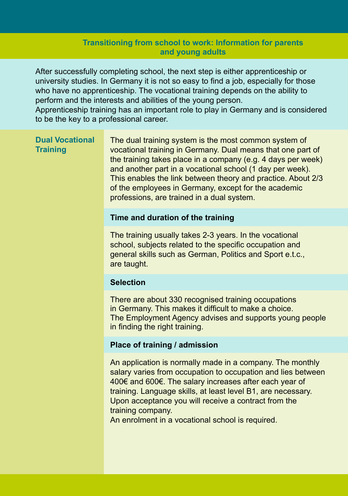#### **Transitioning from school to work: Information for parents and young adults**

After successfully completing school, the next step is either apprenticeship or university studies. In Germany it is not so easy to find a job, especially for those who have no apprenticeship. The vocational training depends on the ability to perform and the interests and abilities of the young person.

Apprenticeship training has an important role to play in Germany and is considered to be the key to a professional career.

#### **Dual Vocational Training**

The dual training system is the most common system of vocational training in Germany. Dual means that one part of the training takes place in a company (e.g. 4 days per week) and another part in a vocational school (1 day per week). This enables the link between theory and practice. About 2/3 of the employees in Germany, except for the academic professions, are trained in a dual system.

#### **Time and duration of the training**

The training usually takes 2-3 years. In the vocational school, subjects related to the specific occupation and general skills such as German, Politics and Sport e.t.c., are taught.

#### **Selection**

There are about 330 recognised training occupations in Germany. This makes it difficult to make a choice. The Employment Agency advises and supports young people in finding the right training.

#### **Place of training / admission**

An application is normally made in a company. The monthly salary varies from occupation to occupation and lies between 400€ and 600€. The salary increases after each year of training. Language skills, at least level B1, are necessary. Upon acceptance you will receive a contract from the training company.

An enrolment in a vocational school is required.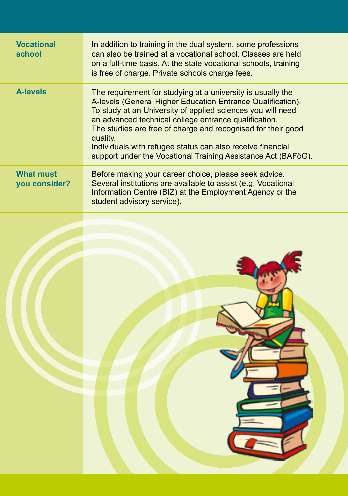| <b>Vocational</b><br>school       | In addition to training in the dual system, some professions<br>can also be trained at a vocational school. Classes are held<br>on a full-time basis. At the state vocational schools, training<br>is free of charge. Private schools charge fees.                                                                                                                                                                                                            |
|-----------------------------------|---------------------------------------------------------------------------------------------------------------------------------------------------------------------------------------------------------------------------------------------------------------------------------------------------------------------------------------------------------------------------------------------------------------------------------------------------------------|
| <b>A-levels</b>                   | The requirement for studying at a university is usually the<br>A-levels (General Higher Education Entrance Qualification).<br>To study at an University of applied sciences you will need<br>an advanced technical college entrance qualification.<br>The studies are free of charge and recognised for their good<br>quality.<br>Individuals with refugee status can also receive financial<br>support under the Vocational Training Assistance Act (BAFöG). |
| <b>What must</b><br>you consider? | Before making your career choice, please seek advice.<br>Several institutions are available to assist (e.g. Vocational<br>Information Centre (BIZ) at the Employment Agency or the<br>student advisory service).                                                                                                                                                                                                                                              |
|                                   |                                                                                                                                                                                                                                                                                                                                                                                                                                                               |
|                                   |                                                                                                                                                                                                                                                                                                                                                                                                                                                               |
|                                   |                                                                                                                                                                                                                                                                                                                                                                                                                                                               |
|                                   |                                                                                                                                                                                                                                                                                                                                                                                                                                                               |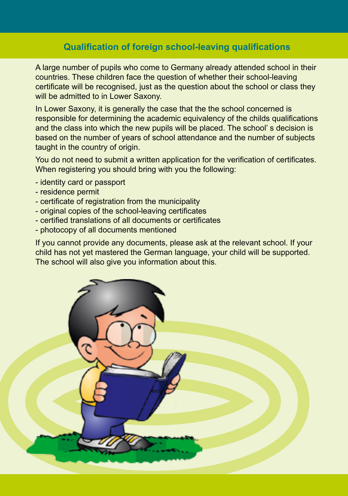### **Qualification of foreign school-leaving qualifications**

A large number of pupils who come to Germany already attended school in their countries. These children face the question of whether their school-leaving certificate will be recognised, just as the question about the school or class they will be admitted to in Lower Saxony.

In Lower Saxony, it is generally the case that the the school concerned is responsible for determining the academic equivalency of the childs qualifications and the class into which the new pupils will be placed. The school' s decision is based on the number of years of school attendance and the number of subjects taught in the country of origin.

You do not need to submit a written application for the verification of certificates. When registering you should bring with you the following:

- identity card or passport
- residence permit
- certificate of registration from the municipality
- original copies of the school-leaving certificates
- certified translations of all documents or certificates
- photocopy of all documents mentioned

If you cannot provide any documents, please ask at the relevant school. If your child has not yet mastered the German language, your child will be supported. The school will also give you information about this.

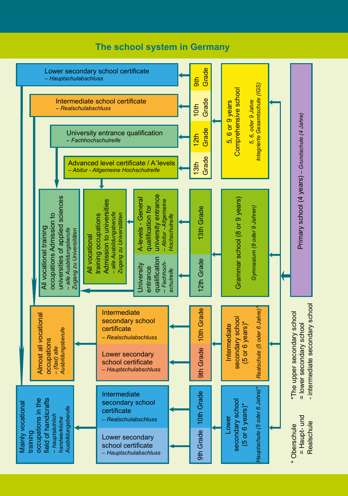### **The school system in Germany**